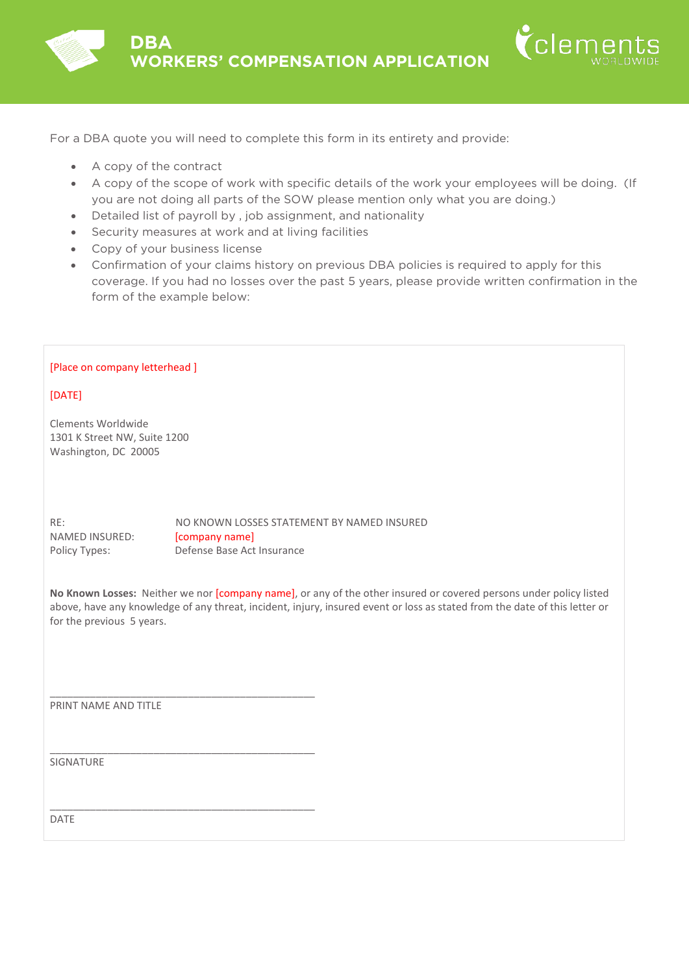

- A copy of the contract
- A copy of the scope of work with specific details of the work your employees will be doing. (If you are not doing all parts of the SOW please mention only what you are doing.)

 $\check{\mathsf{C}}$ lemen

- Detailed list of payroll by , job assignment, and nationality
- Security measures at work and at living facilities
- Copy of your business license
- Confirmation of your claims history on previous DBA policies is required to apply for this coverage. If you had no losses over the past 5 years, please provide written confirmation in the form of the example below:

## [Place on company letterhead ]

[DATE]

Clements Worldwide 1301 K Street NW, Suite 1200 Washington, DC 20005

RE: NO KNOWN LOSSES STATEMENT BY NAMED INSURED NAMED INSURED: [company name] Policy Types: Defense Base Act Insurance

**No Known Losses:** Neither we nor [company name], or any of the other insured or covered persons under policy listed above, have any knowledge of any threat, incident, injury, insured event or loss as stated from the date of this letter or for the previous 5 years.

PRINT NAME AND TITLE

\_\_\_\_\_\_\_\_\_\_\_\_\_\_\_\_\_\_\_\_\_\_\_\_\_\_\_\_\_\_\_\_\_\_\_\_\_\_\_\_\_\_\_\_\_\_

\_\_\_\_\_\_\_\_\_\_\_\_\_\_\_\_\_\_\_\_\_\_\_\_\_\_\_\_\_\_\_\_\_\_\_\_\_\_\_\_\_\_\_\_\_\_

\_\_\_\_\_\_\_\_\_\_\_\_\_\_\_\_\_\_\_\_\_\_\_\_\_\_\_\_\_\_\_\_\_\_\_\_\_\_\_\_\_\_\_\_\_\_

SIGNATURE

DATE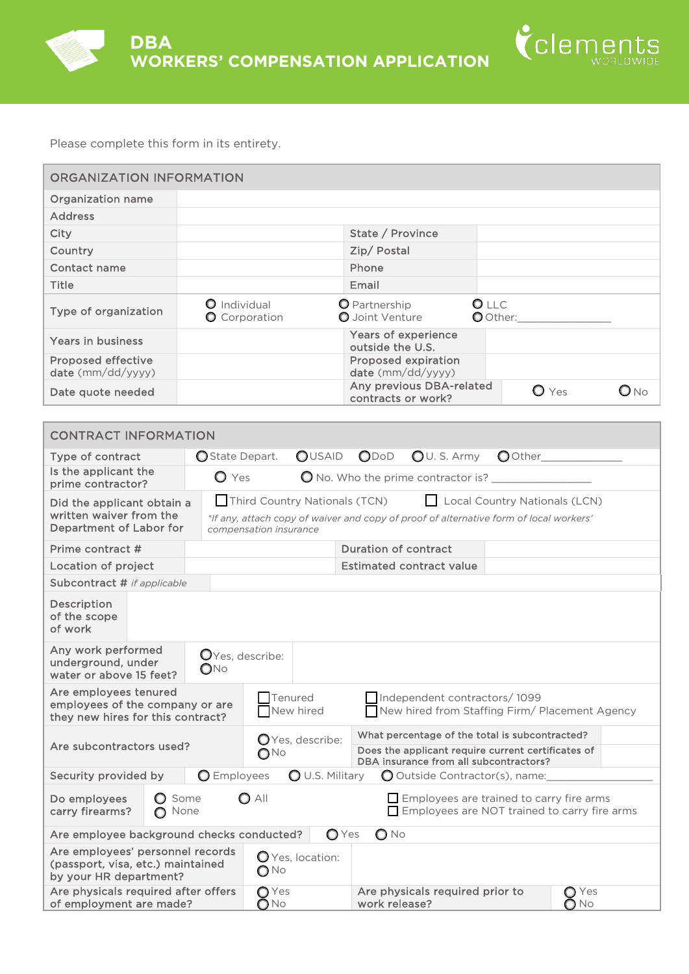



| ORGANIZATION INFORMATION                                                                                                                                                                                          |                                                                                                                                                                                      |
|-------------------------------------------------------------------------------------------------------------------------------------------------------------------------------------------------------------------|--------------------------------------------------------------------------------------------------------------------------------------------------------------------------------------|
| <b>Organization name</b>                                                                                                                                                                                          |                                                                                                                                                                                      |
| <b>Address</b>                                                                                                                                                                                                    |                                                                                                                                                                                      |
| City                                                                                                                                                                                                              | State / Province                                                                                                                                                                     |
| Country                                                                                                                                                                                                           | Zip/Postal                                                                                                                                                                           |
| Contact name                                                                                                                                                                                                      | Phone                                                                                                                                                                                |
| Title                                                                                                                                                                                                             | Email                                                                                                                                                                                |
| Type of organization                                                                                                                                                                                              | O LLC<br><b>O</b> Individual<br><b>O</b> Partnership<br>O Joint Venture<br>O Other:<br><b>O</b> Corporation                                                                          |
| Years in business                                                                                                                                                                                                 | <b>Years of experience</b><br>outside the U.S.                                                                                                                                       |
| <b>Proposed effective</b><br>date (mm/dd/yyyy)                                                                                                                                                                    | <b>Proposed expiration</b><br>date (mm/dd/yyyy)                                                                                                                                      |
| Date quote needed                                                                                                                                                                                                 | Any previous DBA-related<br>$\bullet$ Yes<br>$O_{\text{No}}$<br>contracts or work?                                                                                                   |
|                                                                                                                                                                                                                   |                                                                                                                                                                                      |
| <b>CONTRACT INFORMATION</b>                                                                                                                                                                                       |                                                                                                                                                                                      |
| Type of contract                                                                                                                                                                                                  | O State Depart.<br><b>OUSAID</b><br>$\bigcirc$ U. S. Army<br>ODoD                                                                                                                    |
| Is the applicant the<br>prime contractor?                                                                                                                                                                         | $\bigcirc$ Yes                                                                                                                                                                       |
| Did the applicant obtain a<br>written waiver from the<br>Department of Labor for                                                                                                                                  | Third Country Nationals (TCN)<br>L Local Country Nationals (LCN)<br>*If any, attach copy of waiver and copy of proof of alternative form of local workers'<br>compensation insurance |
| Prime contract #                                                                                                                                                                                                  | <b>Duration of contract</b>                                                                                                                                                          |
| Location of project                                                                                                                                                                                               | <b>Estimated contract value</b>                                                                                                                                                      |
| Subcontract # if applicable                                                                                                                                                                                       |                                                                                                                                                                                      |
| Description<br>of the scope<br>of work                                                                                                                                                                            |                                                                                                                                                                                      |
| Any work performed<br>underground, under<br>water or above 15 feet?                                                                                                                                               | OYes, describe:<br>$\mathsf{O}$ No                                                                                                                                                   |
| Are employees tenured<br>employees of the company or are<br>they new hires for this contract?                                                                                                                     | Tenured<br>Independent contractors/1099<br>New hired from Staffing Firm/ Placement Agency<br>New hired                                                                               |
| What percentage of the total is subcontracted?<br>O Yes, describe:<br>Are subcontractors used?<br>Does the applicant require current certificates of<br>$O^{\text{No}}$<br>DBA insurance from all subcontractors? |                                                                                                                                                                                      |
|                                                                                                                                                                                                                   |                                                                                                                                                                                      |
| Security provided by                                                                                                                                                                                              | <b>O</b> Employees<br><b>O</b> U.S. Military<br>O Outside Contractor(s), name:                                                                                                       |

| Do employees<br>carry firearms?                                                                 | <b>O</b> Some<br>n None                   | O All                   | $\Box$ Employees are trained to carry fire arms<br>$\Box$ Employees are NOT trained to carry fire arms |                        |
|-------------------------------------------------------------------------------------------------|-------------------------------------------|-------------------------|--------------------------------------------------------------------------------------------------------|------------------------|
|                                                                                                 | Are employee background checks conducted? | OYes                    | $O$ No                                                                                                 |                        |
| Are employees' personnel records<br>(passport, visa, etc.) maintained<br>by your HR department? |                                           | O Yes, location:<br>∩No |                                                                                                        |                        |
| Are physicals required after offers<br>of employment are made?                                  |                                           | $\bigcirc$ Yes<br>∩No   | Are physicals required prior to<br>work release?                                                       | $\bigcirc$ Yes<br>O No |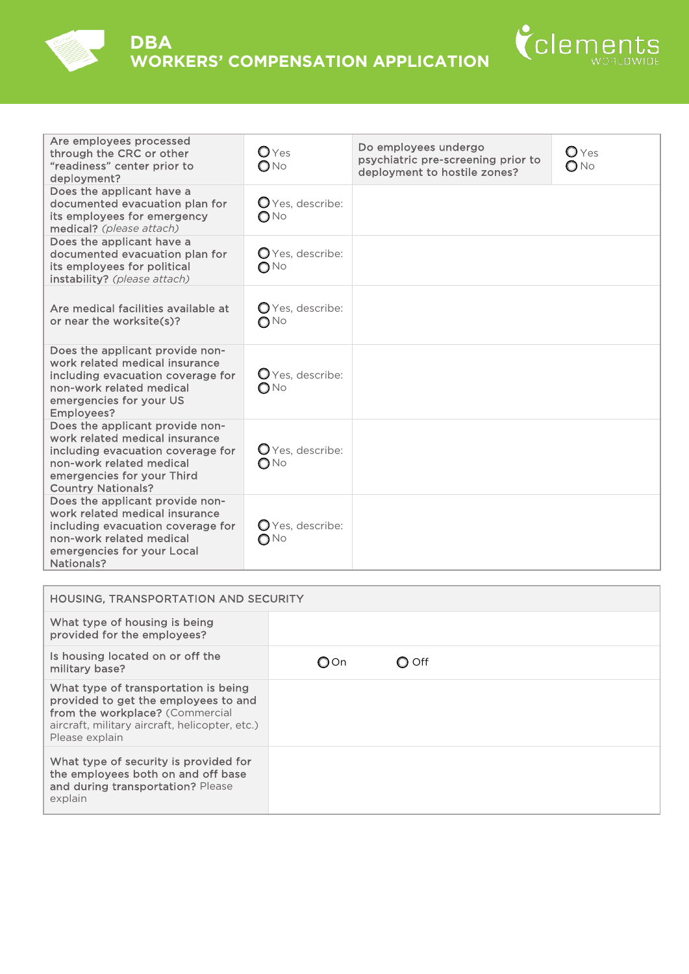



| Are employees processed<br>through the CRC or other<br>"readiness" center prior to<br>deployment?                                                                                             | $\mathbf{O}$ Yes<br>$\bigcirc$ No            | Do employees undergo<br>psychiatric pre-screening prior to<br>deployment to hostile zones? | $O$ Yes<br>$O$ No |
|-----------------------------------------------------------------------------------------------------------------------------------------------------------------------------------------------|----------------------------------------------|--------------------------------------------------------------------------------------------|-------------------|
| Does the applicant have a<br>documented evacuation plan for<br>its employees for emergency<br>medical? (please attach)                                                                        | $\mathbf{Q}$ Yes, describe:<br>$\bigcirc$ No |                                                                                            |                   |
| Does the applicant have a<br>documented evacuation plan for<br>its employees for political<br>instability? (please attach)                                                                    | O Yes, describe:<br>$\bigcirc$ No            |                                                                                            |                   |
| Are medical facilities available at<br>or near the worksite(s)?                                                                                                                               | O Yes, describe:<br>$\bigcirc$ No            |                                                                                            |                   |
| Does the applicant provide non-<br>work related medical insurance<br>including evacuation coverage for<br>non-work related medical<br>emergencies for your US<br>Employees?                   | $\mathbf{Q}$ Yes, describe:<br>$\bigcirc$ No |                                                                                            |                   |
| Does the applicant provide non-<br>work related medical insurance<br>including evacuation coverage for<br>non-work related medical<br>emergencies for your Third<br><b>Country Nationals?</b> | O Yes, describe:<br>$\bigcirc$ No            |                                                                                            |                   |
| Does the applicant provide non-<br>work related medical insurance<br>including evacuation coverage for<br>non-work related medical<br>emergencies for your Local<br>Nationals?                | O Yes, describe:<br>$O$ No                   |                                                                                            |                   |

| <b>HOUSING, TRANSPORTATION AND SECURITY</b>                                                                                                                                         |     |       |  |  |
|-------------------------------------------------------------------------------------------------------------------------------------------------------------------------------------|-----|-------|--|--|
| What type of housing is being<br>provided for the employees?                                                                                                                        |     |       |  |  |
| Is housing located on or off the<br>military base?                                                                                                                                  | OOn | O Off |  |  |
| What type of transportation is being<br>provided to get the employees to and<br>from the workplace? (Commercial<br>aircraft, military aircraft, helicopter, etc.)<br>Please explain |     |       |  |  |
| What type of security is provided for<br>the employees both on and off base<br>and during transportation? Please<br>explain                                                         |     |       |  |  |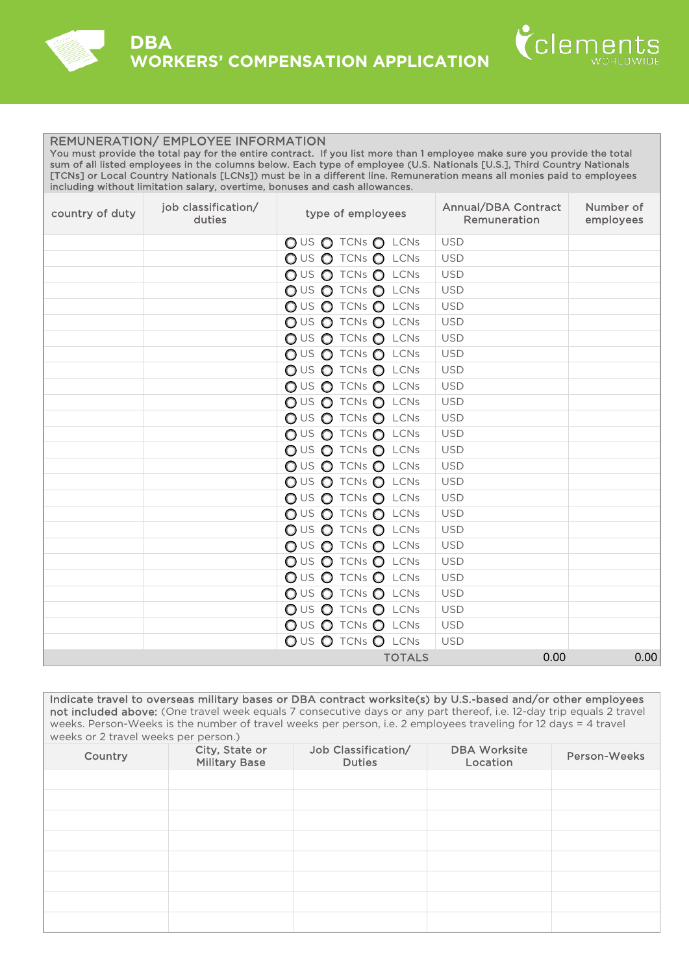



## REMUNERATION/ EMPLOYEE INFORMATION

You must provide the total pay for the entire contract. If you list more than 1 employee make sure you provide the total sum of all listed employees in the columns below. Each type of employee (U.S. Nationals [U.S.], Third Country Nationals [TCNs] or Local Country Nationals [LCNs]) must be in a different line. Remuneration means all monies paid to employees including without limitation salary, overtime, bonuses and cash allowances.

| country of duty | job classification/<br>duties | type of employees     | <b>Annual/DBA Contract</b><br>Remuneration | Number of<br>employees |
|-----------------|-------------------------------|-----------------------|--------------------------------------------|------------------------|
|                 |                               | $OUS O$ TCNs $O$ LCNs | <b>USD</b>                                 |                        |
|                 |                               | OUS O TCNs O LCNs     | <b>USD</b>                                 |                        |
|                 |                               | $OUS O$ TCNs $O$ LCNs | <b>USD</b>                                 |                        |
|                 |                               | OUS O TCNs O LCNs     | <b>USD</b>                                 |                        |
|                 |                               | OUS O TCNs O LCNs     | <b>USD</b>                                 |                        |
|                 |                               | OUS O TCNs O LCNs     | <b>USD</b>                                 |                        |
|                 |                               | $OUS O$ TCNs $O$ LCNs | <b>USD</b>                                 |                        |
|                 |                               | $OUS O$ TCNs $O$ LCNs | <b>USD</b>                                 |                        |
|                 |                               | OUS O TCNs O LCNs     | <b>USD</b>                                 |                        |
|                 |                               | $OUS O$ TCNs $O$ LCNs | <b>USD</b>                                 |                        |
|                 |                               | OUS O TCNs O LCNs     | <b>USD</b>                                 |                        |
|                 |                               | OUS O TCNs O LCNs     | <b>USD</b>                                 |                        |
|                 |                               | $OUS O$ TCNs $O$ LCNs | <b>USD</b>                                 |                        |
|                 |                               | OUS O TCNs O LCNs     | <b>USD</b>                                 |                        |
|                 |                               | OUS O TCNs O LCNs     | <b>USD</b>                                 |                        |
|                 |                               | OUS O TCNs O LCNs     | <b>USD</b>                                 |                        |
|                 |                               | $OUS O$ TCNs $O$ LCNs | <b>USD</b>                                 |                        |
|                 |                               | $OUS O$ TCNs $O$ LCNs | <b>USD</b>                                 |                        |
|                 |                               | OUS O TCNs O LCNs     | <b>USD</b>                                 |                        |
|                 |                               | $OUS O$ TCNs $O$ LCNs | <b>USD</b>                                 |                        |
|                 |                               | OUS O TCNs O LCNs     | <b>USD</b>                                 |                        |
|                 |                               | OUS O TCNs O LCNs     | <b>USD</b>                                 |                        |
|                 |                               | OUS O TCNs O LCNs     | <b>USD</b>                                 |                        |
|                 |                               | OUS O TCNs O LCNs     | <b>USD</b>                                 |                        |
|                 |                               | OUS O TCNs O LCNs     | <b>USD</b>                                 |                        |
|                 |                               | OUS O TCNs O LCNs     | <b>USD</b>                                 |                        |
|                 |                               | <b>TOTALS</b>         | 0.00                                       | 0.00                   |

Indicate travel to overseas military bases or DBA contract worksite(s) by U.S.-based and/or other employees not included above: (One travel week equals 7 consecutive days or any part thereof, i.e. 12-day trip equals 2 travel weeks. Person-Weeks is the number of travel weeks per person, i.e. 2 employees traveling for 12 days = 4 travel weeks or 2 travel weeks per person.)

| Country | City, State or<br><b>Military Base</b> | Job Classification/<br><b>Duties</b> | <b>DBA Worksite</b><br>Location | Person-Weeks |
|---------|----------------------------------------|--------------------------------------|---------------------------------|--------------|
|         |                                        |                                      |                                 |              |
|         |                                        |                                      |                                 |              |
|         |                                        |                                      |                                 |              |
|         |                                        |                                      |                                 |              |
|         |                                        |                                      |                                 |              |
|         |                                        |                                      |                                 |              |
|         |                                        |                                      |                                 |              |
|         |                                        |                                      |                                 |              |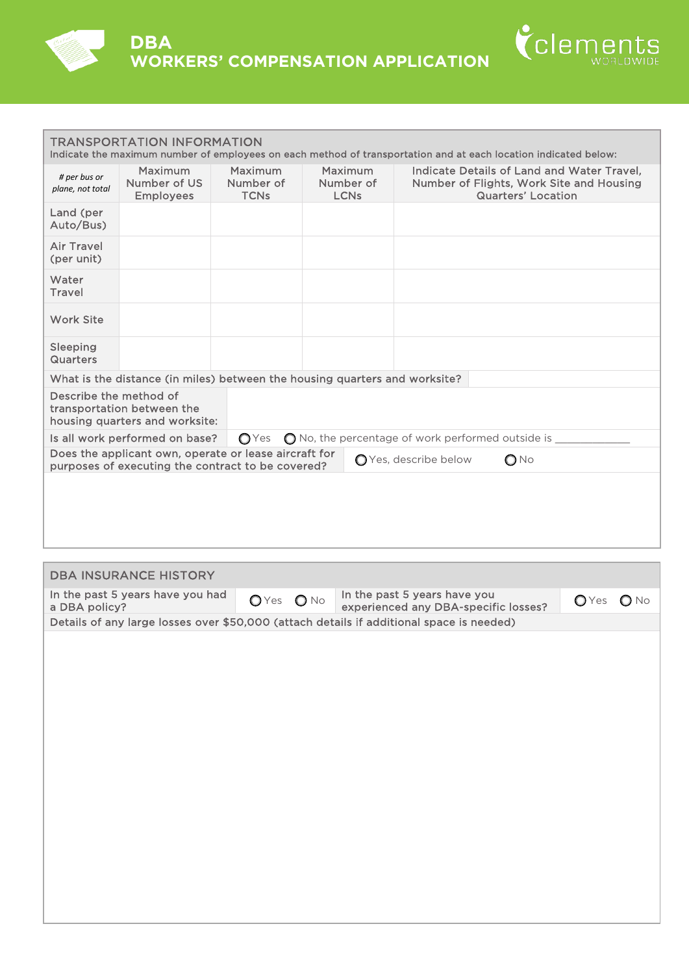



| <b>TRANSPORTATION INFORMATION</b><br>Indicate the maximum number of employees on each method of transportation and at each location indicated below: |                                                                            |                                     |                                     |                                                                                                                     |  |
|------------------------------------------------------------------------------------------------------------------------------------------------------|----------------------------------------------------------------------------|-------------------------------------|-------------------------------------|---------------------------------------------------------------------------------------------------------------------|--|
| # per bus or<br>plane, not total                                                                                                                     | Maximum<br>Number of US<br><b>Employees</b>                                | Maximum<br>Number of<br><b>TCNs</b> | Maximum<br>Number of<br><b>LCNs</b> | Indicate Details of Land and Water Travel.<br>Number of Flights, Work Site and Housing<br><b>Quarters' Location</b> |  |
| Land (per<br>Auto/Bus)                                                                                                                               |                                                                            |                                     |                                     |                                                                                                                     |  |
| <b>Air Travel</b><br>(per unit)                                                                                                                      |                                                                            |                                     |                                     |                                                                                                                     |  |
| Water<br>Travel                                                                                                                                      |                                                                            |                                     |                                     |                                                                                                                     |  |
| <b>Work Site</b>                                                                                                                                     |                                                                            |                                     |                                     |                                                                                                                     |  |
| Sleeping<br><b>Quarters</b>                                                                                                                          |                                                                            |                                     |                                     |                                                                                                                     |  |
|                                                                                                                                                      | What is the distance (in miles) between the housing quarters and worksite? |                                     |                                     |                                                                                                                     |  |
| Describe the method of                                                                                                                               | transportation between the<br>housing quarters and worksite:               |                                     |                                     |                                                                                                                     |  |
|                                                                                                                                                      | Is all work performed on base?                                             | OYes                                |                                     | $\bigcirc$ No, the percentage of work performed outside is                                                          |  |
| Does the applicant own, operate or lease aircraft for<br>○ Yes, describe below<br>$\bigcirc$ No<br>purposes of executing the contract to be covered? |                                                                            |                                     |                                     |                                                                                                                     |  |
|                                                                                                                                                      |                                                                            |                                     |                                     |                                                                                                                     |  |

| <b>DBA INSURANCE HISTORY</b>                                                             |              |                                                                      |                |               |
|------------------------------------------------------------------------------------------|--------------|----------------------------------------------------------------------|----------------|---------------|
| In the past 5 years have you had<br>a DBA policy?                                        | $OYes$ $ONo$ | In the past 5 years have you<br>experienced any DBA-specific losses? | $\bigcirc$ Yes | $\bigcirc$ No |
| Details of any large losses over \$50,000 (attach details if additional space is needed) |              |                                                                      |                |               |
|                                                                                          |              |                                                                      |                |               |
|                                                                                          |              |                                                                      |                |               |
|                                                                                          |              |                                                                      |                |               |
|                                                                                          |              |                                                                      |                |               |
|                                                                                          |              |                                                                      |                |               |
|                                                                                          |              |                                                                      |                |               |
|                                                                                          |              |                                                                      |                |               |
|                                                                                          |              |                                                                      |                |               |
|                                                                                          |              |                                                                      |                |               |
|                                                                                          |              |                                                                      |                |               |
|                                                                                          |              |                                                                      |                |               |
|                                                                                          |              |                                                                      |                |               |
|                                                                                          |              |                                                                      |                |               |
|                                                                                          |              |                                                                      |                |               |
|                                                                                          |              |                                                                      |                |               |
|                                                                                          |              |                                                                      |                |               |
|                                                                                          |              |                                                                      |                |               |